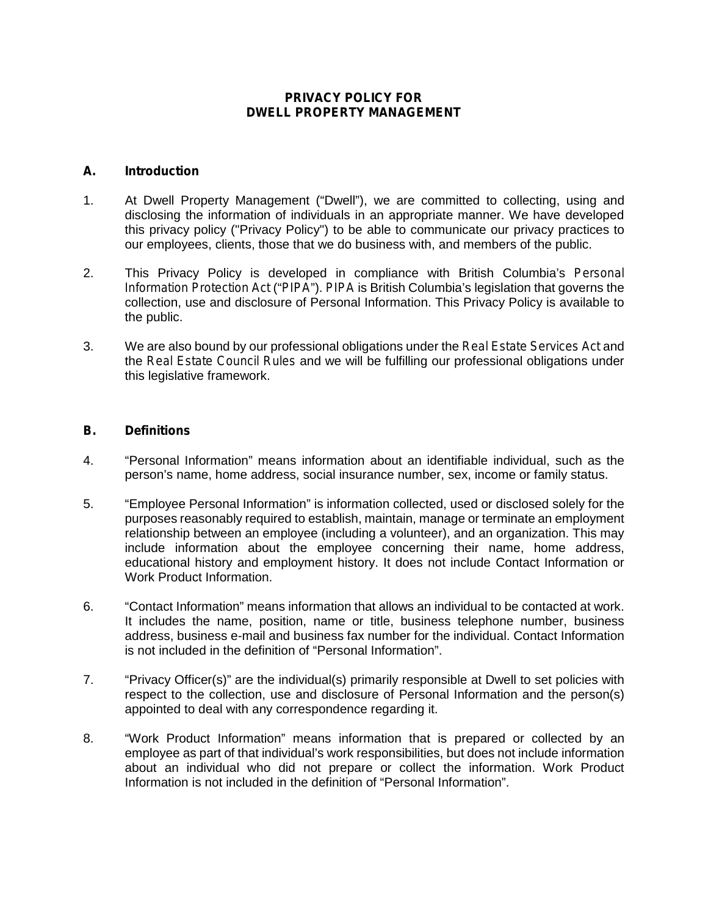## **PRIVACY POLICY FOR DWELL PROPERTY MANAGEMENT**

### **A. Introduction**

- 1. At Dwell Property Management ("Dwell"), we are committed to collecting, using and disclosing the information of individuals in an appropriate manner. We have developed this privacy policy ("Privacy Policy") to be able to communicate our privacy practices to our employees, clients, those that we do business with, and members of the public.
- 2. This Privacy Policy is developed in compliance with British Columbia's *Personal Information Protection Act* ("*PIPA*"). *PIPA* is British Columbia's legislation that governs the collection, use and disclosure of Personal Information. This Privacy Policy is available to the public.
- 3. We are also bound by our professional obligations under the *Real Estate Services Act* and the *Real Estate Council Rules* and we will be fulfilling our professional obligations under this legislative framework.

### **B. Definitions**

- 4. "Personal Information" means information about an identifiable individual, such as the person's name, home address, social insurance number, sex, income or family status.
- 5. "Employee Personal Information" is information collected, used or disclosed solely for the purposes reasonably required to establish, maintain, manage or terminate an employment relationship between an employee (including a volunteer), and an organization. This may include information about the employee concerning their name, home address, educational history and employment history. It does not include Contact Information or Work Product Information.
- 6. "Contact Information" means information that allows an individual to be contacted at work. It includes the name, position, name or title, business telephone number, business address, business e-mail and business fax number for the individual. Contact Information is not included in the definition of "Personal Information".
- 7. "Privacy Officer(s)" are the individual(s) primarily responsible at Dwell to set policies with respect to the collection, use and disclosure of Personal Information and the person(s) appointed to deal with any correspondence regarding it.
- 8. "Work Product Information" means information that is prepared or collected by an employee as part of that individual's work responsibilities, but does not include information about an individual who did not prepare or collect the information. Work Product Information is not included in the definition of "Personal Information".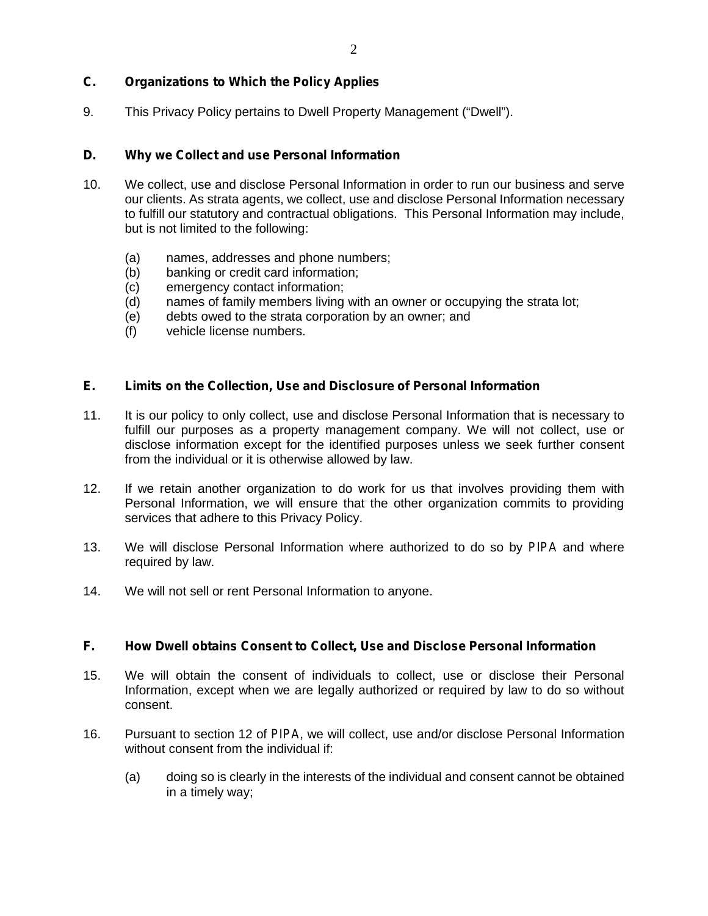# **C. Organizations to Which the Policy Applies**

9. This Privacy Policy pertains to Dwell Property Management ("Dwell").

## **D. Why we Collect and use Personal Information**

- 10. We collect, use and disclose Personal Information in order to run our business and serve our clients. As strata agents, we collect, use and disclose Personal Information necessary to fulfill our statutory and contractual obligations. This Personal Information may include, but is not limited to the following:
	- (a) names, addresses and phone numbers;
	- (b) banking or credit card information;
	- (c) emergency contact information;
	- (d) names of family members living with an owner or occupying the strata lot;
	- (e) debts owed to the strata corporation by an owner; and
	- (f) vehicle license numbers.

### **E. Limits on the Collection, Use and Disclosure of Personal Information**

- 11. It is our policy to only collect, use and disclose Personal Information that is necessary to fulfill our purposes as a property management company. We will not collect, use or disclose information except for the identified purposes unless we seek further consent from the individual or it is otherwise allowed by law.
- 12. If we retain another organization to do work for us that involves providing them with Personal Information, we will ensure that the other organization commits to providing services that adhere to this Privacy Policy.
- 13. We will disclose Personal Information where authorized to do so by *PIPA* and where required by law.
- 14. We will not sell or rent Personal Information to anyone.

## **F. How Dwell obtains Consent to Collect, Use and Disclose Personal Information**

- 15. We will obtain the consent of individuals to collect, use or disclose their Personal Information, except when we are legally authorized or required by law to do so without consent.
- 16. Pursuant to section 12 of *PIPA*, we will collect, use and/or disclose Personal Information without consent from the individual if:
	- (a) doing so is clearly in the interests of the individual and consent cannot be obtained in a timely way;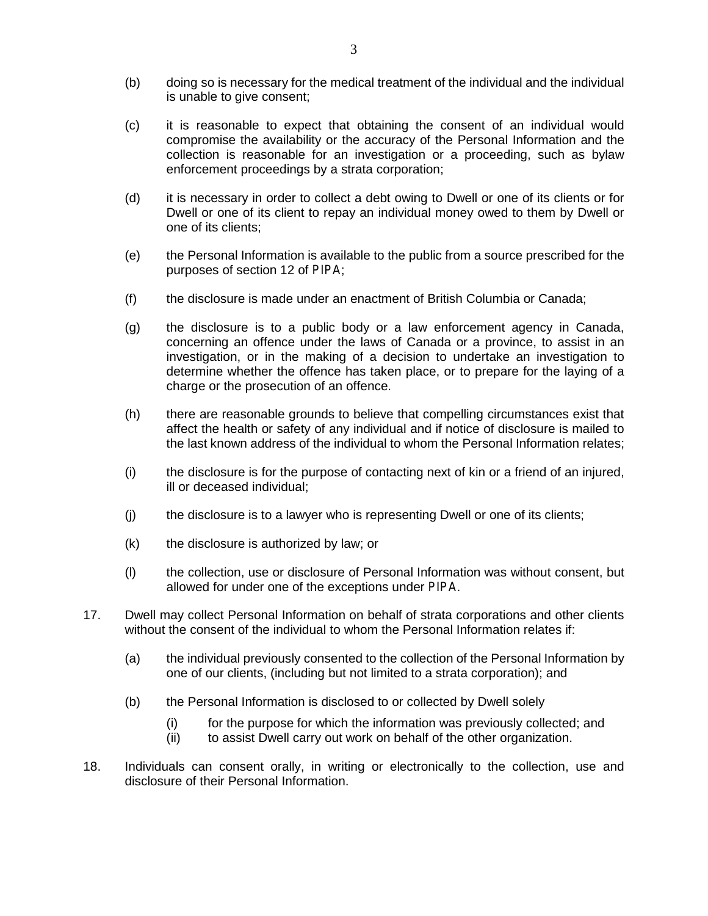- (b) doing so is necessary for the medical treatment of the individual and the individual is unable to give consent;
- (c) it is reasonable to expect that obtaining the consent of an individual would compromise the availability or the accuracy of the Personal Information and the collection is reasonable for an investigation or a proceeding, such as bylaw enforcement proceedings by a strata corporation;
- (d) it is necessary in order to collect a debt owing to Dwell or one of its clients or for Dwell or one of its client to repay an individual money owed to them by Dwell or one of its clients;
- (e) the Personal Information is available to the public from a source prescribed for the purposes of section 12 of *PIPA*;
- (f) the disclosure is made under an enactment of British Columbia or Canada;
- (g) the disclosure is to a public body or a law enforcement agency in Canada, concerning an offence under the laws of Canada or a province, to assist in an investigation, or in the making of a decision to undertake an investigation to determine whether the offence has taken place, or to prepare for the laying of a charge or the prosecution of an offence.
- (h) there are reasonable grounds to believe that compelling circumstances exist that affect the health or safety of any individual and if notice of disclosure is mailed to the last known address of the individual to whom the Personal Information relates;
- (i) the disclosure is for the purpose of contacting next of kin or a friend of an injured, ill or deceased individual;
- (j) the disclosure is to a lawyer who is representing Dwell or one of its clients;
- (k) the disclosure is authorized by law; or
- (l) the collection, use or disclosure of Personal Information was without consent, but allowed for under one of the exceptions under *PIPA*.
- 17. Dwell may collect Personal Information on behalf of strata corporations and other clients without the consent of the individual to whom the Personal Information relates if:
	- (a) the individual previously consented to the collection of the Personal Information by one of our clients, (including but not limited to a strata corporation); and
	- (b) the Personal Information is disclosed to or collected by Dwell solely
		- (i) for the purpose for which the information was previously collected; and (ii) to assist Dwell carry out work on behalf of the other organization.
		- to assist Dwell carry out work on behalf of the other organization.
- 18. Individuals can consent orally, in writing or electronically to the collection, use and disclosure of their Personal Information.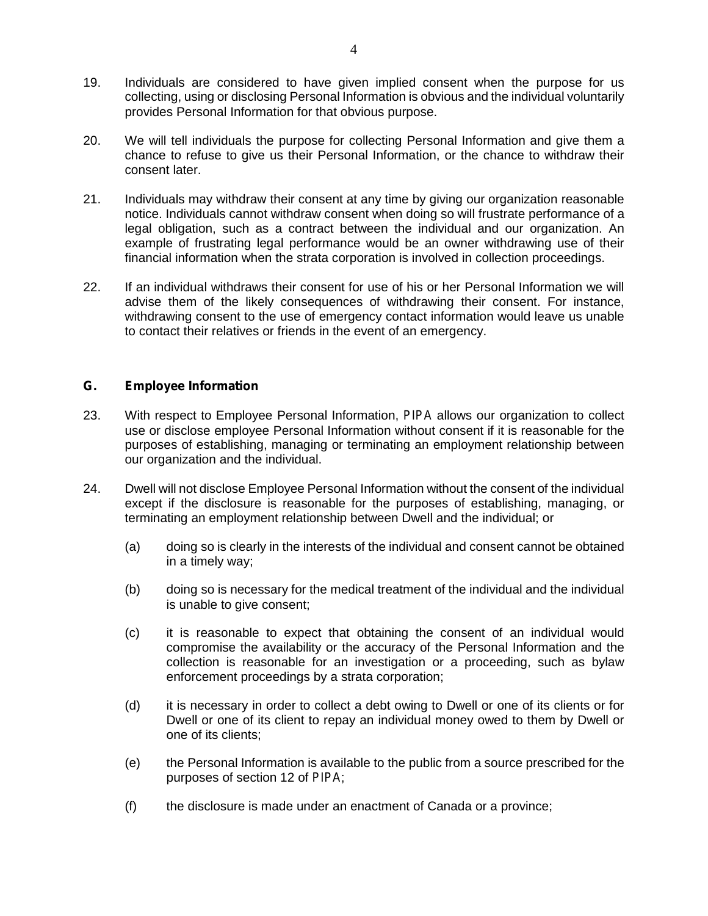- 19. Individuals are considered to have given implied consent when the purpose for us collecting, using or disclosing Personal Information is obvious and the individual voluntarily provides Personal Information for that obvious purpose.
- 20. We will tell individuals the purpose for collecting Personal Information and give them a chance to refuse to give us their Personal Information, or the chance to withdraw their consent later.
- 21. Individuals may withdraw their consent at any time by giving our organization reasonable notice. Individuals cannot withdraw consent when doing so will frustrate performance of a legal obligation, such as a contract between the individual and our organization. An example of frustrating legal performance would be an owner withdrawing use of their financial information when the strata corporation is involved in collection proceedings.
- 22. If an individual withdraws their consent for use of his or her Personal Information we will advise them of the likely consequences of withdrawing their consent. For instance, withdrawing consent to the use of emergency contact information would leave us unable to contact their relatives or friends in the event of an emergency.

### **G. Employee Information**

- 23. With respect to Employee Personal Information, *PIPA* allows our organization to collect use or disclose employee Personal Information without consent if it is reasonable for the purposes of establishing, managing or terminating an employment relationship between our organization and the individual.
- 24. Dwell will not disclose Employee Personal Information without the consent of the individual except if the disclosure is reasonable for the purposes of establishing, managing, or terminating an employment relationship between Dwell and the individual; or
	- (a) doing so is clearly in the interests of the individual and consent cannot be obtained in a timely way;
	- (b) doing so is necessary for the medical treatment of the individual and the individual is unable to give consent;
	- (c) it is reasonable to expect that obtaining the consent of an individual would compromise the availability or the accuracy of the Personal Information and the collection is reasonable for an investigation or a proceeding, such as bylaw enforcement proceedings by a strata corporation;
	- (d) it is necessary in order to collect a debt owing to Dwell or one of its clients or for Dwell or one of its client to repay an individual money owed to them by Dwell or one of its clients;
	- (e) the Personal Information is available to the public from a source prescribed for the purposes of section 12 of *PIPA*;
	- (f) the disclosure is made under an enactment of Canada or a province;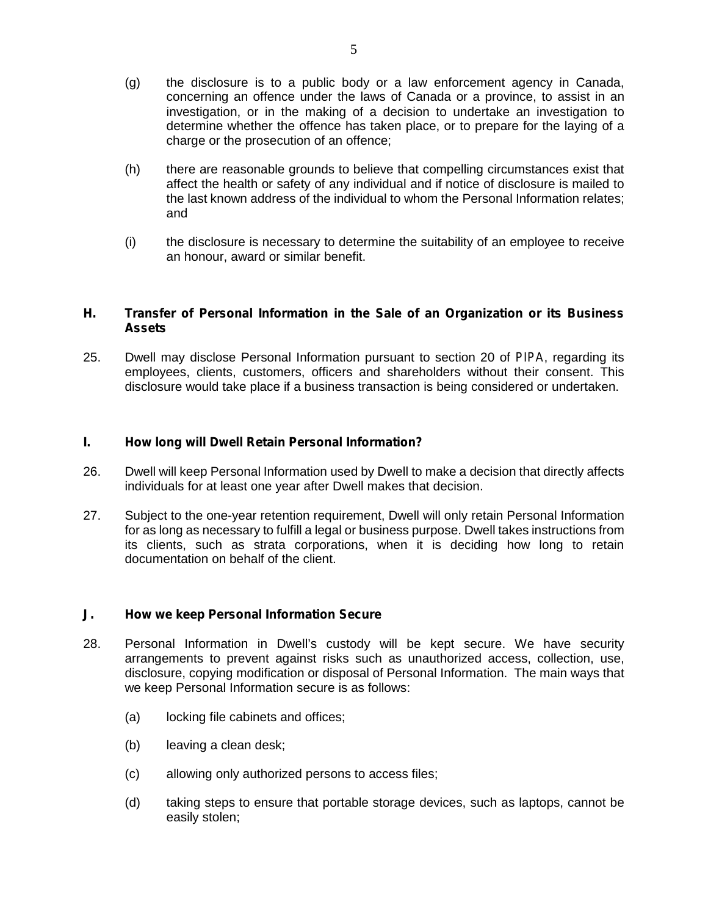- (g) the disclosure is to a public body or a law enforcement agency in Canada, concerning an offence under the laws of Canada or a province, to assist in an investigation, or in the making of a decision to undertake an investigation to determine whether the offence has taken place, or to prepare for the laying of a charge or the prosecution of an offence;
- (h) there are reasonable grounds to believe that compelling circumstances exist that affect the health or safety of any individual and if notice of disclosure is mailed to the last known address of the individual to whom the Personal Information relates; and
- (i) the disclosure is necessary to determine the suitability of an employee to receive an honour, award or similar benefit.

### **H. Transfer of Personal Information in the Sale of an Organization or its Business Assets**

25. Dwell may disclose Personal Information pursuant to section 20 of *PIPA*, regarding its employees, clients, customers, officers and shareholders without their consent. This disclosure would take place if a business transaction is being considered or undertaken.

## **I. How long will Dwell Retain Personal Information?**

- 26. Dwell will keep Personal Information used by Dwell to make a decision that directly affects individuals for at least one year after Dwell makes that decision.
- 27. Subject to the one-year retention requirement, Dwell will only retain Personal Information for as long as necessary to fulfill a legal or business purpose. Dwell takes instructions from its clients, such as strata corporations, when it is deciding how long to retain documentation on behalf of the client.

#### **J. How we keep Personal Information Secure**

- 28. Personal Information in Dwell's custody will be kept secure. We have security arrangements to prevent against risks such as unauthorized access, collection, use, disclosure, copying modification or disposal of Personal Information. The main ways that we keep Personal Information secure is as follows:
	- (a) locking file cabinets and offices;
	- (b) leaving a clean desk;
	- (c) allowing only authorized persons to access files;
	- (d) taking steps to ensure that portable storage devices, such as laptops, cannot be easily stolen;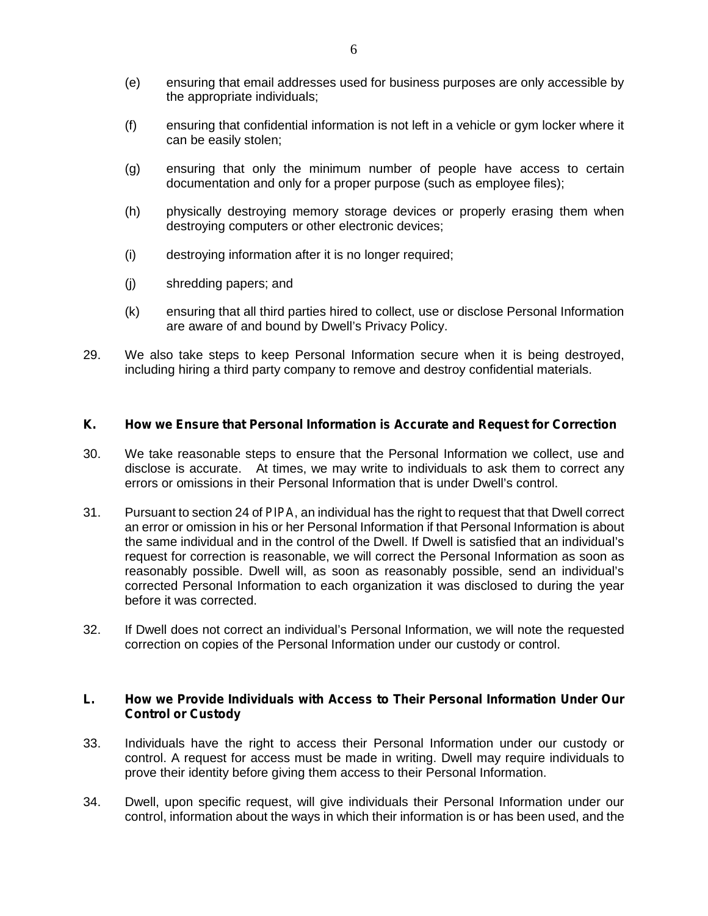- (e) ensuring that email addresses used for business purposes are only accessible by the appropriate individuals;
- (f) ensuring that confidential information is not left in a vehicle or gym locker where it can be easily stolen;
- (g) ensuring that only the minimum number of people have access to certain documentation and only for a proper purpose (such as employee files);
- (h) physically destroying memory storage devices or properly erasing them when destroying computers or other electronic devices;
- (i) destroying information after it is no longer required;
- (j) shredding papers; and
- (k) ensuring that all third parties hired to collect, use or disclose Personal Information are aware of and bound by Dwell's Privacy Policy.
- 29. We also take steps to keep Personal Information secure when it is being destroyed, including hiring a third party company to remove and destroy confidential materials.

### **K. How we Ensure that Personal Information is Accurate and Request for Correction**

- 30. We take reasonable steps to ensure that the Personal Information we collect, use and disclose is accurate. At times, we may write to individuals to ask them to correct any errors or omissions in their Personal Information that is under Dwell's control.
- 31. Pursuant to section 24 of *PIPA*, an individual has the right to request that that Dwell correct an error or omission in his or her Personal Information if that Personal Information is about the same individual and in the control of the Dwell. If Dwell is satisfied that an individual's request for correction is reasonable, we will correct the Personal Information as soon as reasonably possible. Dwell will, as soon as reasonably possible, send an individual's corrected Personal Information to each organization it was disclosed to during the year before it was corrected.
- 32. If Dwell does not correct an individual's Personal Information, we will note the requested correction on copies of the Personal Information under our custody or control.

#### **L. How we Provide Individuals with Access to Their Personal Information Under Our Control or Custody**

- 33. Individuals have the right to access their Personal Information under our custody or control. A request for access must be made in writing. Dwell may require individuals to prove their identity before giving them access to their Personal Information.
- 34. Dwell, upon specific request, will give individuals their Personal Information under our control, information about the ways in which their information is or has been used, and the